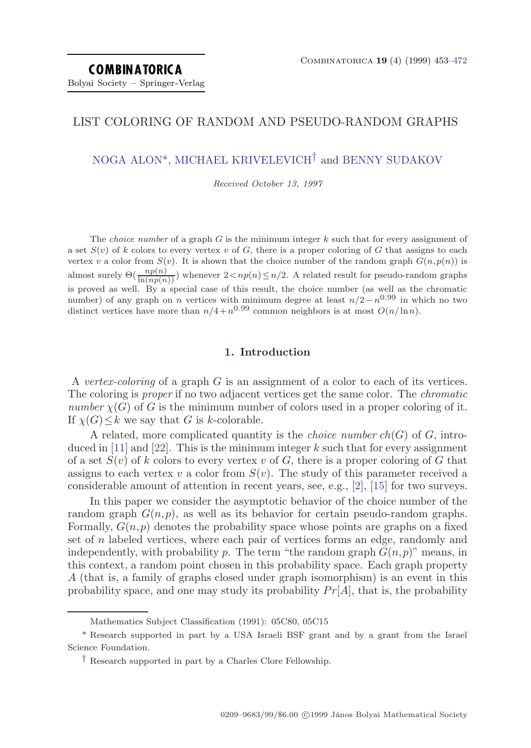# LIST COLORING OF RANDOM AND PSEUDO-RANDOM GRAPHS

NOGA ALON<sup>\*</sup>, [MICHAEL KRIVELEVICH](#page-19-0)<sup>†</sup> and [BENNY SUDAKOV](#page-19-0)

Received October 13, 1997

The *choice number* of a graph  $G$  is the minimum integer  $k$  such that for every assignment of a set  $S(v)$  of k colors to every vertex v of G, there is a proper coloring of G that assigns to each vertex v a color from  $S(v)$ . It is shown that the choice number of the random graph  $G(n, p(n))$  is almost surely  $\Theta(\frac{np(n)}{\ln(np(n))})$  whenever  $2\langle np(n)\leq n/2$ . A related result for pseudo-random graphs is proved as well. By a special case of this result, the choice number (as well as the chromatic number) of any graph on n vertices with minimum degree at least  $n/2 - n^{0.99}$  in which no two distinct vertices have more than  $n/4+n^{0.99}$  common neighbors is at most  $O(n/\ln n)$ .

### **1. Introduction**

A vertex-coloring of a graph  $G$  is an assignment of a color to each of its vertices. The coloring is *proper* if no two adjacent vertices get the same color. The *chromatic* number  $\chi(G)$  of G is the minimum number of colors used in a proper coloring of it. If  $\chi(G) \leq k$  we say that G is k-colorable.

A related, more complicated quantity is the *choice number ch(G)* of  $G$ , intro-duced in [\[11](#page-18-0)] and [\[22\]](#page-18-0). This is the minimum integer  $k$  such that for every assignment of a set  $S(v)$  of k colors to every vertex v of G, there is a proper coloring of G that assigns to each vertex v a color from  $S(v)$ . The study of this parameter received a considerable amount of attention in recent years, see, e.g., [\[2\]](#page-17-0), [[15](#page-18-0)] for two surveys.

In this paper we consider the asymptotic behavior of the choice number of the random graph  $G(n, p)$ , as well as its behavior for certain pseudo-random graphs. Formally,  $G(n, p)$  denotes the probability space whose points are graphs on a fixed set of n labeled vertices, where each pair of vertices forms an edge, randomly and independently, with probability p. The term "the random graph  $G(n, p)$ " means, in this context, a random point chosen in this probability space. Each graph property A (that is, a family of graphs closed under graph isomorphism) is an event in this probability space, and one may study its probability  $Pr[A]$ , that is, the probability

Mathematics Subject Classification (1991): 05C80, 05C15

<sup>\*</sup> Research supported in part by a USA Israeli BSF grant and by a grant fromthe Israel Science Foundation.

<sup>†</sup> Research supported in part by a Charles Clore Fellowship.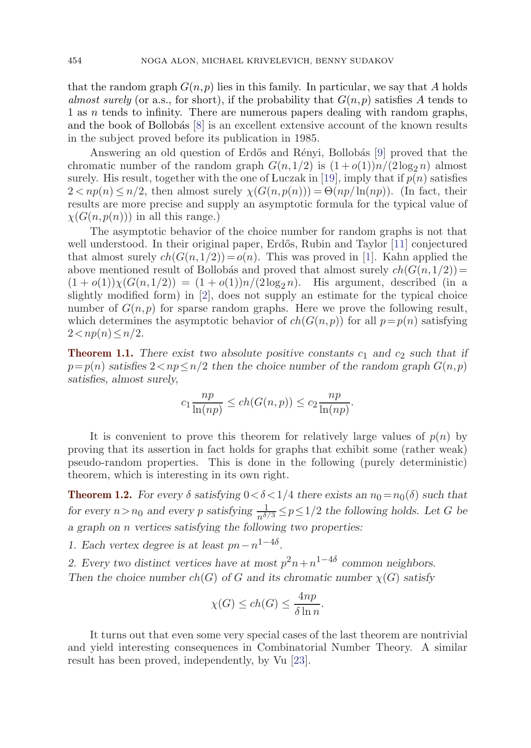<span id="page-1-0"></span>that the random graph  $G(n, p)$  lies in this family. In particular, we say that A holds almost surely (or a.s., for short), if the probability that  $G(n, p)$  satisfies A tends to 1 as  $n$  tends to infinity. There are numerous papers dealing with random graphs, and the book of Bollobás  $[8]$  $[8]$  is an excellent extensive account of the known results in the subject proved before its publication in 1985.

Answering an old question of Erdős and Rényi, Bollobás [[9\]](#page-18-0) proved that the chromatic number of the random graph  $G(n,1/2)$  is  $(1+o(1))n/(2\log_2 n)$  almost surely. His result, together with the one of Luczak in [\[19](#page-18-0)], imply that if  $p(n)$  satisfies  $2 < np(n) \le n/2$ , then almost surely  $\chi(G(n, p(n))) = \Theta(np/\ln(np))$ . (In fact, their results are more precise and supply an asymptotic formula for the typical value of  $\chi(G(n,p(n)))$  in all this range.)

The asymptotic behavior of the choice number for random graphs is not that well understood. In their original paper, Erdős, Rubin and Taylor [\[11](#page-18-0)] conjectured that almost surely  $ch(G(n,1/2))=o(n)$ . This was proved in [[1\]](#page-17-0). Kahn applied the above mentioned result of Bollobás and proved that almost surely  $ch(G(n,1/2))=$  $(1 + o(1))\chi(G(n,1/2)) = (1 + o(1))n/(2\log_2 n)$ . His argument, described (in a slightly modified form) in [\[2](#page-17-0)], does not supply an estimate for the typical choice number of  $G(n, p)$  for sparse random graphs. Here we prove the following result, which determines the asymptotic behavior of  $ch(G(n, p))$  for all  $p = p(n)$  satisfying  $2 < np(n) \leq n/2$ .

**Theorem 1.1.** There exist two absolute positive constants  $c_1$  and  $c_2$  such that if  $p=p(n)$  *satisfies*  $2\langle np\langle n\rangle/2$  *then the choice number of the random graph*  $G(n, p)$ *satisfies, almost surely,*

$$
c_1 \frac{np}{\ln(np)} \le ch(G(n,p)) \le c_2 \frac{np}{\ln(np)}.
$$

It is convenient to prove this theorem for relatively large values of  $p(n)$  by proving that its assertion in fact holds for graphs that exhibit some (rather weak) pseudo-random properties. This is done in the following (purely deterministic) theorem, which is interesting in its own right.

**Theorem 1.2.** *For every*  $\delta$  *satisfying*  $0 < \delta < 1/4$  *there exists an*  $n_0 = n_0(\delta)$  *such that for every*  $n > n_0$  *and every* p *satisfying*  $\frac{1}{n^{\delta/3}} \leq p \leq 1/2$  *the following holds. Let* G *be a graph on* n *vertices satisfying the following two properties:*

*1. Each vertex degree is at least*  $pn - n^{1-4\delta}$ .

2. Every two distinct vertices have at most  $p^2n + n^{1-4\delta}$  common neighbors. *Then the choice number ch(G) of G and its chromatic number*  $\chi(G)$  *satisfy* 

$$
\chi(G) \le ch(G) \le \frac{4np}{\delta \ln n}.
$$

It turns out that even some very special cases of the last theorem are nontrivial and yield interesting consequences in Combinatorial Number Theory. A similar result has been proved, independently, by Vu [\[23](#page-19-0)].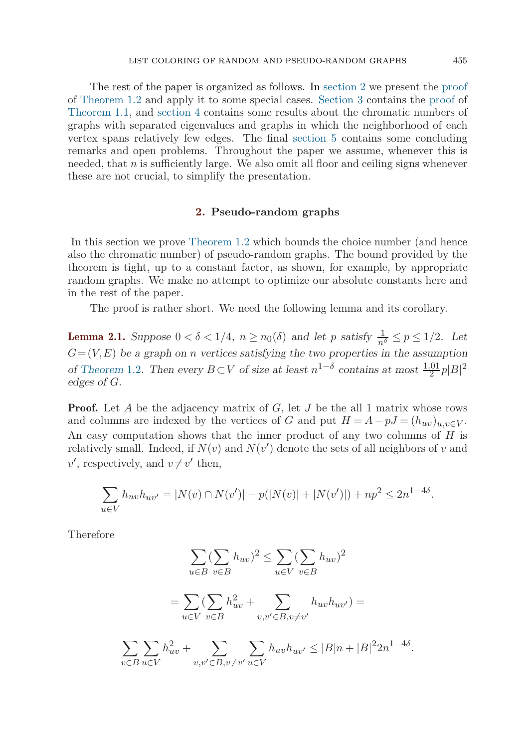<span id="page-2-0"></span>The rest of the paper is organized as follows. In section 2 we present the [proof](#page-3-0) of [Theorem 1.2](#page-1-0) and apply it to some special cases. [Section 3](#page-5-0) contains the [proof](#page-10-0) of [Theorem 1.1,](#page-1-0) and [section 4](#page-11-0) contains some results about the chromatic numbers of graphs with separated eigenvalues and graphs in which the neighborhood of each vertex spans relatively few edges. The final [section 5](#page-15-0) contains some concluding remarks and open problems. Throughout the paper we assume, whenever this is needed, that  $n$  is sufficiently large. We also omit all floor and ceiling signs whenever these are not crucial, to simplify the presentation.

#### **2. Pseudo-random graphs**

In this section we prove [Theorem 1.2](#page-1-0) which bounds the choice number (and hence also the chromatic number) of pseudo-random graphs. The bound provided by the theorem is tight, up to a constant factor, as shown, for example, by appropriate random graphs. We make no attempt to optimize our absolute constants here and in the rest of the paper.

The proof is rather short. We need the following lemma and its corollary.

**Lemma 2.1.** *Suppose*  $0 < \delta < 1/4$ ,  $n \ge n_0(\delta)$  *and let* p *satisfy*  $\frac{1}{n^{\delta}} \le p \le 1/2$ *. Let*  $G = (V, E)$  be a graph on *n* vertices satisfying the two properties in the assumption *of* [Theorem](#page-1-0) 1.2. Then every  $B \subset V$  *of size at least*  $n^{1-\delta}$  *contains at most*  $\frac{1.01}{2}p|B|^2$ *edges of* G*.*

**Proof.** Let A be the adjacency matrix of  $G$ , let  $J$  be the all 1 matrix whose rows and columns are indexed by the vertices of G and put  $H = A - pJ = (h_{uv})_{u,v \in V}$ . An easy computation shows that the inner product of any two columns of  $H$  is relatively small. Indeed, if  $N(v)$  and  $N(v')$  denote the sets of all neighbors of v and  $v'$ , respectively, and  $v \neq v'$  then,

$$
\sum_{u \in V} h_{uv} h_{uv'} = |N(v) \cap N(v')| - p(|N(v)| + |N(v')|) + np^2 \le 2n^{1-4\delta}.
$$

Therefore

$$
\sum_{u \in B} (\sum_{v \in B} h_{uv})^2 \le \sum_{u \in V} (\sum_{v \in B} h_{uv})^2
$$
  
= 
$$
\sum_{u \in V} (\sum_{v \in B} h_{uv}^2 + \sum_{v, v' \in B, v \ne v'} h_{uv} h_{uv'}) =
$$
  

$$
\sum_{v \in B} \sum_{u \in V} h_{uv}^2 + \sum_{v, v' \in B, v \ne v'} \sum_{u \in V} h_{uv} h_{uv'} \le |B|n + |B|^2 2n^{1-4\delta}.
$$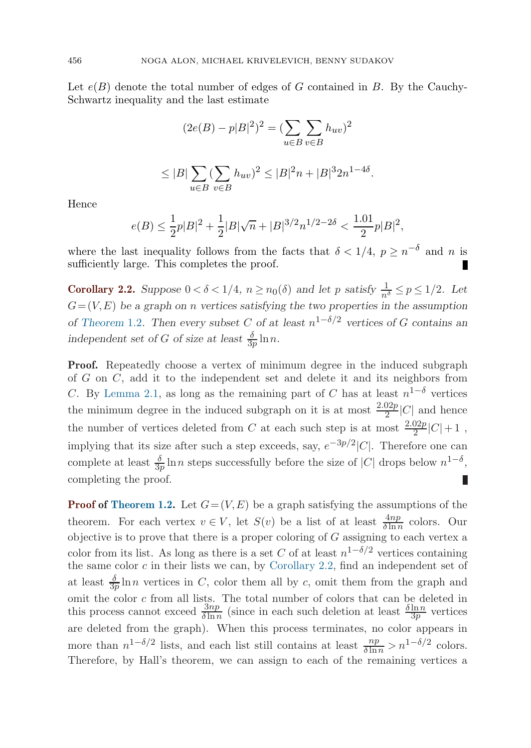<span id="page-3-0"></span>Let  $e(B)$  denote the total number of edges of G contained in B. By the Cauchy-Schwartz inequality and the last estimate

$$
(2e(B) - p|B|^2)^2 = \left(\sum_{u \in B} \sum_{v \in B} h_{uv}\right)^2
$$
  

$$
\leq |B| \sum_{u \in B} (\sum_{v \in B} h_{uv})^2 \leq |B|^2 n + |B|^3 2n^{1-4\delta}.
$$

Hence

$$
e(B)\leq \frac{1}{2}p|B|^2+\frac{1}{2}|B|\sqrt{n}+|B|^{3/2}n^{1/2-2\delta}<\frac{1.01}{2}p|B|^2,
$$

where the last inequality follows from the facts that  $\delta < 1/4$ ,  $p \geq n^{-\delta}$  and n is sufficiently large. This completes the proof.

**Corollary 2.2.** *Suppose*  $0 < \delta < 1/4$ ,  $n \ge n_0(\delta)$  *and let p satisfy*  $\frac{1}{n^{\delta}} \le p \le 1/2$ *. Let*  $G = (V, E)$  be a graph on *n* vertices satisfying the two properties in the assumption *of* [Theorem](#page-1-0) 1.2. Then every subset C of at least  $n^{1-\delta/2}$  vertices of G contains an *independent set of G of size at least*  $\frac{\delta}{3p} \ln n$ .

**Proof.** Repeatedly choose a vertex of minimum degree in the induced subgraph of G on  $C$ , add it to the independent set and delete it and its neighbors from C. By [Lemma 2.1](#page-2-0), as long as the remaining part of C has at least  $n^{1-\delta}$  vertices the minimum degree in the induced subgraph on it is at most  $\frac{2.02p}{2}|C|$  and hence the number of vertices deleted from C at each such step is at most  $\frac{2.02p}{2}|C|+1$ , implying that its size after such a step exceeds, say,  $e^{-3p/2}|C|$ . Therefore one can complete at least  $\frac{\delta}{3p} \ln n$  steps successfully before the size of |C| drops below  $n^{1-\delta}$ , completing the proof.

**Proof of [Theorem 1.2.](#page-1-0)** Let  $G = (V, E)$  be a graph satisfying the assumptions of the theorem. For each vertex  $v \in V$ , let  $S(v)$  be a list of at least  $\frac{4np}{\delta \ln n}$  colors. Our objective is to prove that there is a proper coloring of  $G$  assigning to each vertex a color from its list. As long as there is a set C of at least  $n^{1-\delta/2}$  vertices containing the same color  $c$  in their lists we can, by Corollary 2.2, find an independent set of at least  $\frac{\delta}{3p} \ln n$  vertices in C, color them all by c, omit them from the graph and omit the color c from all lists. The total number of colors that can be deleted in this process cannot exceed  $\frac{3np}{\delta \ln n}$  (since in each such deletion at least  $\frac{\delta \ln n}{3p}$  vertices are deleted from the graph). When this process terminates, no color appears in more than  $n^{1-\delta/2}$  lists, and each list still contains at least  $\frac{np}{\delta \ln n} > n^{1-\delta/2}$  colors. Therefore, by Hall's theorem, we can assign to each of the remaining vertices a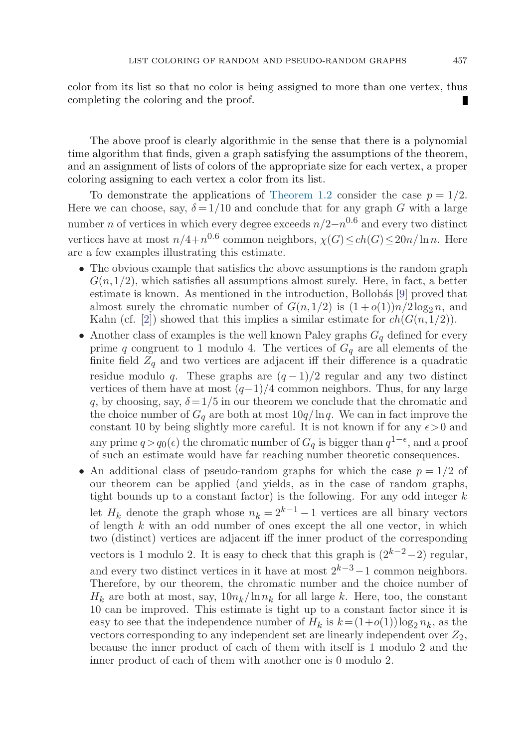color from its list so that no color is being assigned to more than one vertex, thus completing the coloring and the proof.

The above proof is clearly algorithmic in the sense that there is a polynomial time algorithm that finds, given a graph satisfying the assumptions of the theorem, and an assignment of lists of colors of the appropriate size for each vertex, a proper coloring assigning to each vertex a color from its list.

To demonstrate the applications of [Theorem 1.2](#page-1-0) consider the case  $p = 1/2$ . Here we can choose, say,  $\delta = 1/10$  and conclude that for any graph G with a large number *n* of vertices in which every degree exceeds  $n/2-n^{0.6}$  and every two distinct vertices have at most  $n/4+n^{0.6}$  common neighbors,  $\chi(G) \le ch(G) \le 20n/\ln n$ . Here are a few examples illustrating this estimate.

- The obvious example that satisfies the above assumptions is the random graph  $G(n,1/2)$ , which satisfies all assumptions almost surely. Here, in fact, a better estimate is known. As mentioned in the introduction, Bollobás  $[9]$  $[9]$  proved that almost surely the chromatic number of  $G(n,1/2)$  is  $(1+o(1))n/2\log_2 n$ , and Kahn (cf. [\[2](#page-17-0)]) showed that this implies a similar estimate for  $ch(G(n,1/2))$ .
- Another class of examples is the well known Paley graphs  $G_q$  defined for every prime q congruent to 1 modulo 4. The vertices of  $G_q$  are all elements of the finite field  $Z_q$  and two vertices are adjacent iff their difference is a quadratic residue modulo q. These graphs are  $(q-1)/2$  regular and any two distinct vertices of them have at most  $(q-1)/4$  common neighbors. Thus, for any large q, by choosing, say,  $\delta = 1/5$  in our theorem we conclude that the chromatic and the choice number of  $G_q$  are both at most  $10q/\ln q$ . We can in fact improve the constant 10 by being slightly more careful. It is not known if for any  $\epsilon > 0$  and any prime  $q>q_0(\epsilon)$  the chromatic number of  $G_q$  is bigger than  $q^{1-\epsilon}$ , and a proof of such an estimate would have far reaching number theoretic consequences.
- An additional class of pseudo-random graphs for which the case  $p = 1/2$  of our theorem can be applied (and yields, as in the case of random graphs, tight bounds up to a constant factor) is the following. For any odd integer  $k$ let  $H_k$  denote the graph whose  $n_k = 2^{k-1} - 1$  vertices are all binary vectors of length  $k$  with an odd number of ones except the all one vector, in which two (distinct) vertices are adjacent iff the inner product of the corresponding vectors is 1 modulo 2. It is easy to check that this graph is  $(2^{k-2}-2)$  regular, and every two distinct vertices in it have at most  $2^{k-3}-1$  common neighbors. Therefore, by our theorem, the chromatic number and the choice number of  $H_k$  are both at most, say,  $10n_k/\ln n_k$  for all large k. Here, too, the constant 10 can be improved. This estimate is tight up to a constant factor since it is easy to see that the independence number of  $H_k$  is  $k = (1+o(1))\log_2 n_k$ , as the vectors corresponding to any independent set are linearly independent over  $Z_2$ , because the inner product of each of them with itself is 1 modulo 2 and the inner product of each of them with another one is 0 modulo 2.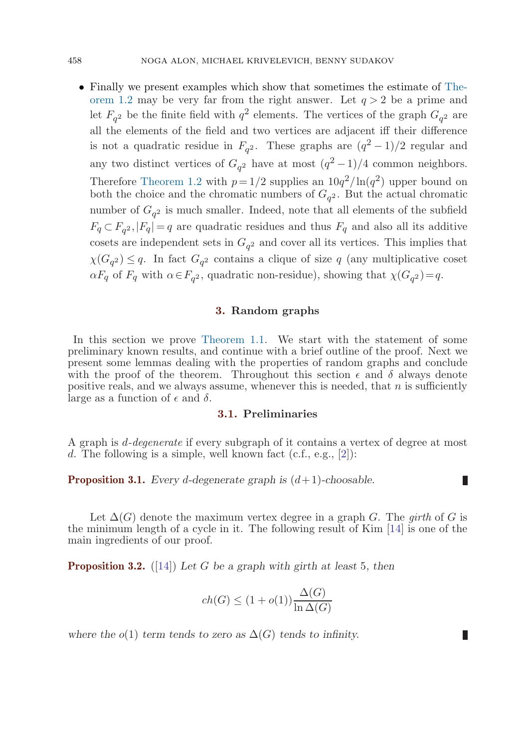• Finally we present examples which show that sometimes the estimate of [The](#page-1-0)[orem 1.2](#page-1-0) may be very far from the right answer. Let  $q > 2$  be a prime and let  $F_{q^2}$  be the finite field with  $q^2$  elements. The vertices of the graph  $G_{q^2}$  are all the elements of the field and two vertices are adjacent iff their difference is not a quadratic residue in  $F_{q2}$ . These graphs are  $(q^2-1)/2$  regular and any two distinct vertices of  $G_{q^2}$  have at most  $(q^2-1)/4$  common neighbors. Therefore [Theorem 1.2](#page-1-0) with  $p=1/2$  supplies an  $10q^2/\ln(q^2)$  upper bound on both the choice and the chromatic numbers of  $G_{q^2}$ . But the actual chromatic number of  $G_{q^2}$  is much smaller. Indeed, note that all elements of the subfield  $F_q \subset F_{q^2}$ ,  $|F_q| = q$  are quadratic residues and thus  $F_q$  and also all its additive cosets are independent sets in  $G<sub>q</sub>$ <sup>2</sup> and cover all its vertices. This implies that  $\chi(G_{q^2}) \leq q$ . In fact  $G_{q^2}$  contains a clique of size q (any multiplicative coset  $\alpha F_q$  of  $F_q$  with  $\alpha \in F_{q^2}$ , quadratic non-residue), showing that  $\chi(G_{q^2})=q$ .

# **3. Random graphs**

In this section we prove [Theorem 1.1](#page-1-0). We start with the statement of some preliminary known results, and continue with a brief outline of the proof. Next we present some lemmas dealing with the properties of random graphs and conclude with the proof of the theorem. Throughout this section  $\epsilon$  and  $\delta$  always denote positive reals, and we always assume, whenever this is needed, that  $n$  is sufficiently large as a function of  $\epsilon$  and  $\delta$ .

# **3.1. Preliminaries**

A graph is *d-degenerate* if every subgraph of it contains a vertex of degree at most d. The following is a simple, well known fact  $(c.f., e.g., [2])$  $(c.f., e.g., [2])$  $(c.f., e.g., [2])$ :

П

**Proposition 3.1.** *Every* d-degenerate graph is  $(d+1)$ -choosable.

Let  $\Delta(G)$  denote the maximum vertex degree in a graph G. The girth of G is the minimum length of a cycle in it. The following result of Kim [[14\]](#page-18-0) is one of the main ingredients of our proof.

**Proposition 3.2.** ([[14\]](#page-18-0)) *Let* G *be a graph with girth at least* 5*, then*

$$
ch(G) \le (1 + o(1)) \frac{\Delta(G)}{\ln \Delta(G)}
$$

*where the*  $o(1)$  *term tends to zero as*  $\Delta(G)$  *tends to infinity.* 

<span id="page-5-0"></span>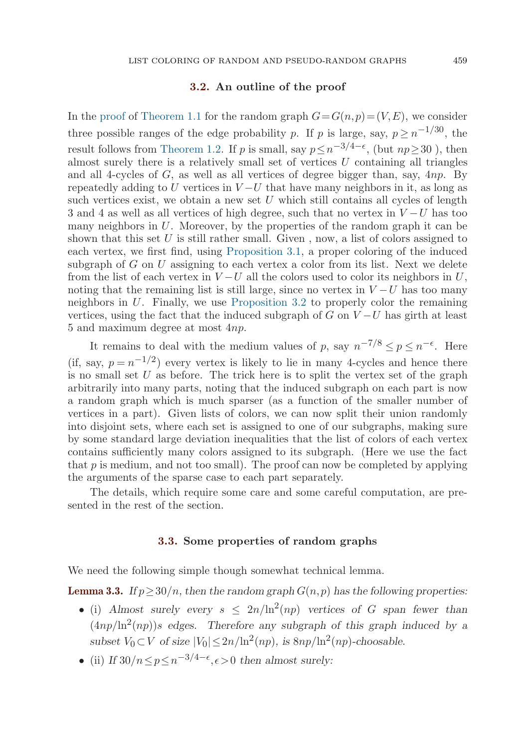#### **3.2. An outline of the proof**

<span id="page-6-0"></span>In the [proof](#page-10-0) of [Theorem 1.1](#page-1-0) for the random graph  $G=G(n,p)=(V,E)$ , we consider three possible ranges of the edge probability p. If p is large, say,  $p \ge n^{-1/30}$ , the result follows from [Theorem 1.2](#page-1-0). If p is small, say  $p \leq n^{-3/4-\epsilon}$ , (but  $np > 30$ ), then almost surely there is a relatively small set of vertices  $U$  containing all triangles and all 4-cycles of  $G$ , as well as all vertices of degree bigger than, say,  $4np$ . By repeatedly adding to U vertices in  $V-U$  that have many neighbors in it, as long as such vertices exist, we obtain a new set  $U$  which still contains all cycles of length 3 and 4 as well as all vertices of high degree, such that no vertex in  $V-U$  has too many neighbors in  $U$ . Moreover, by the properties of the random graph it can be shown that this set U is still rather small. Given, now, a list of colors assigned to each vertex, we first find, using [Proposition 3.1](#page-5-0), a proper coloring of the induced subgraph of  $G$  on  $U$  assigning to each vertex a color from its list. Next we delete from the list of each vertex in  $V-U$  all the colors used to color its neighbors in U, noting that the remaining list is still large, since no vertex in  $V-U$  has too many neighbors in U. Finally, we use [Proposition 3.2](#page-5-0) to properly color the remaining vertices, using the fact that the induced subgraph of G on  $V-U$  has girth at least 5 and maximum degree at most 4np.

It remains to deal with the medium values of p, say  $n^{-7/8} \le p \le n^{-\epsilon}$ . Here (if, say,  $p = n^{-1/2}$ ) every vertex is likely to lie in many 4-cycles and hence there is no small set  $U$  as before. The trick here is to split the vertex set of the graph arbitrarily into many parts, noting that the induced subgraph on each part is now a random graph which is much sparser (as a function of the smaller number of vertices in a part). Given lists of colors, we can now split their union randomly into disjoint sets, where each set is assigned to one of our subgraphs, making sure by some standard large deviation inequalities that the list of colors of each vertex contains sufficiently many colors assigned to its subgraph. (Here we use the fact that  $p$  is medium, and not too small). The proof can now be completed by applying the arguments of the sparse case to each part separately.

The details, which require some care and some careful computation, are presented in the rest of the section.

#### **3.3. Some properties of random graphs**

We need the following simple though somewhat technical lemma.

**Lemma 3.3.** *If*  $p \geq 30/n$ , then the random graph  $G(n, p)$  has the following properties:

- (i) *Almost surely every*  $s \leq 2n/\ln^2(np)$  *vertices of G span fewer than*  $(4np/\ln^2(np))s$  *edges.* Therefore any subgraph of this graph induced by a *subset*  $V_0 \subset V$  *of size*  $|V_0| \leq 2n/\ln^2(np)$ *, is*  $8np/\ln^2(np)$ *-choosable.*
- (ii) *If*  $30/n \leq p \leq n^{-3/4-\epsilon}, \epsilon > 0$  *then almost surely:*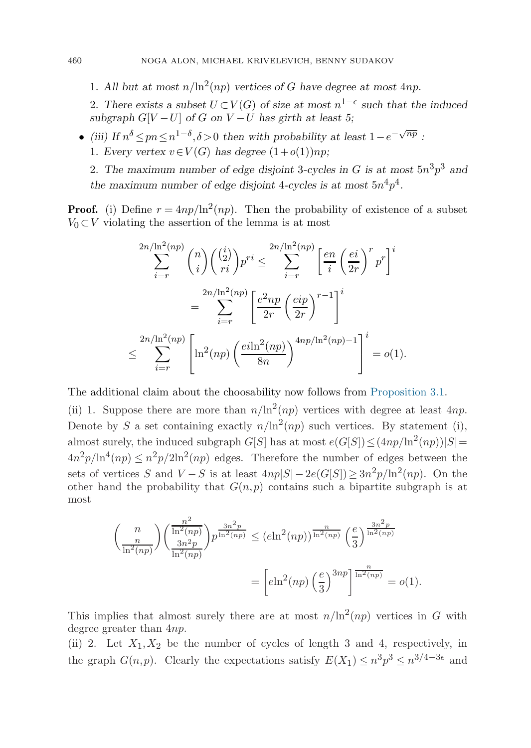<span id="page-7-0"></span>1. All but at most  $n/\ln^2(np)$  vertices of G have degree at most 4np.

2. There exists a subset  $U \subset V(G)$  of size at most  $n^{1-\epsilon}$  such that the induced *subgraph*  $G[V-U]$  *of*  $G$  *on*  $V-U$  *has girth at least 5;* 

- *(iii)* If  $n^{\delta} \leq pn \leq n^{1-\delta}, \delta > 0$  then with probability at least  $1-e^{-\sqrt{np}}$ :
	- 1. *Every vertex*  $v \in V(G)$  *has degree*  $(1+o(1))np$ ;

2. The maximum number of edge disjoint 3-cycles in G is at most  $5n^3p^3$  and the maximum number of edge disjoint 4-cycles is at most  $5n^4p^4$ .

**Proof.** (i) Define  $r = 4np/\ln^2(np)$ . Then the probability of existence of a subset  $V_0 \subset V$  violating the assertion of the lemma is at most

$$
\sum_{i=r}^{2n/\ln^2(np)} \binom{n}{i} \binom{\binom{i}{2}}{ri} p^{ri} \le \sum_{i=r}^{2n/\ln^2(np)} \left[ \frac{en}{i} \left( \frac{ei}{2r} \right)^r p^r \right]^i
$$

$$
= \sum_{i=r}^{2n/\ln^2(np)} \left[ \frac{e^2np}{2r} \left( \frac{eip}{2r} \right)^{r-1} \right]^i
$$

$$
\le \sum_{i=r}^{2n/\ln^2(np)} \left[ \ln^2(np) \left( \frac{ei\ln^2(np)}{8n} \right)^{4np/\ln^2(np) - 1} \right]^i = o(1).
$$

The additional claim about the choosability now follows from [Proposition 3.1.](#page-5-0)

(ii) 1. Suppose there are more than  $n/\ln^2(np)$  vertices with degree at least 4np. Denote by S a set containing exactly  $n/\ln^2(np)$  such vertices. By statement (i), almost surely, the induced subgraph  $G[S]$  has at most  $e(G[S]) \leq (4np/\ln^2(np))|S|=$  $4n^2p/\ln^4(np) \leq n^2p/2\ln^2(np)$  edges. Therefore the number of edges between the sets of vertices S and  $V-S$  is at least  $4np|S|-2e(G[S])\geq 3n^2p/\ln^2(np)$ . On the other hand the probability that  $G(n, p)$  contains such a bipartite subgraph is at most

$$
\left(\frac{n}{\ln^2(np)}\right) \left(\frac{n^2}{\ln^2(np)}\right) p^{\frac{3n^2p}{\ln^2(np)}} \leq (e \ln^2(np))^{\frac{n}{\ln^2(np)}} \left(\frac{e}{3}\right)^{\frac{3n^2p}{\ln^2(np)}} \n= \left[e \ln^2(np) \left(\frac{e}{3}\right)^{3np}\right]^{\frac{n}{\ln^2(np)}} = o(1).
$$

This implies that almost surely there are at most  $n/\ln^2(np)$  vertices in G with degree greater than 4np.

(ii) 2. Let  $X_1, X_2$  be the number of cycles of length 3 and 4, respectively, in the graph  $G(n, p)$ . Clearly the expectations satisfy  $E(X_1) \leq n^3 p^3 \leq n^{3/4-3\epsilon}$  and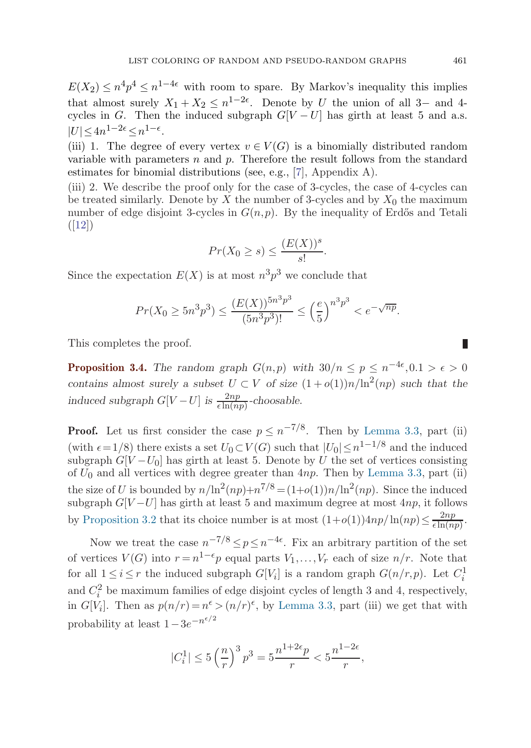<span id="page-8-0"></span> $E(X_2) \leq n^4 p^4 \leq n^{1-4\epsilon}$  with room to spare. By Markov's inequality this implies that almost surely  $X_1 + X_2 \leq n^{1-2\epsilon}$ . Denote by U the union of all 3– and 4cycles in G. Then the induced subgraph  $G[V-U]$  has girth at least 5 and a.s.  $|U| < 4n^{1-2\epsilon} < n^{1-\epsilon}$ .

(iii) 1. The degree of every vertex  $v \in V(G)$  is a binomially distributed random variable with parameters  $n$  and  $p$ . Therefore the result follows from the standard estimates for binomial distributions (see, e.g., [\[7](#page-18-0)], Appendix A).

(iii) 2. We describe the proof only for the case of 3-cycles, the case of 4-cycles can be treated similarly. Denote by  $X$  the number of 3-cycles and by  $X_0$  the maximum number of edge disjoint 3-cycles in  $G(n, p)$ . By the inequality of Erdős and Tetali  $([12])$  $([12])$  $([12])$ 

$$
Pr(X_0 \ge s) \le \frac{(E(X))^s}{s!}.
$$

Since the expectation  $E(X)$  is at most  $n^3p^3$  we conclude that

$$
Pr(X_0 \ge 5n^3p^3) \le \frac{(E(X))^{5n^3p^3}}{(5n^3p^3)!} \le \left(\frac{e}{5}\right)^{n^3p^3} < e^{-\sqrt{np}}.
$$

This completes the proof.

**Proposition 3.4.** *The random graph*  $G(n,p)$  *with*  $30/n \leq p \leq n^{-4\epsilon}, 0.1 > \epsilon > 0$ *contains almost surely a subset*  $U \subset V$  *of size*  $(1+o(1))n/\ln^2(np)$  *such that the induced subgraph*  $G[V-U]$  *is*  $\frac{2np}{\epsilon \ln(np)}$ *-choosable.* 

**Proof.** Let us first consider the case  $p \leq n^{-7/8}$ . Then by [Lemma 3.3](#page-6-0), part (ii) (with  $\epsilon = 1/8$ ) there exists a set  $U_0 \subset V(G)$  such that  $|U_0| \leq n^{1-1/8}$  and the induced subgraph  $G[V-U_0]$  has girth at least 5. Denote by U the set of vertices consisting of  $U_0$  and all vertices with degree greater than  $4np$ . Then by [Lemma 3.3](#page-6-0), part (ii) the size of U is bounded by  $n/\ln^2(np)+n^{7/8} = (1+o(1))n/\ln^2(np)$ . Since the induced subgraph  $G[V-U]$  has girth at least 5 and maximum degree at most  $4np$ , it follows by [Proposition 3.2](#page-5-0) that its choice number is at most  $(1+o(1))4np/\ln(np) \leq \frac{2np}{\epsilon \ln(np)}$ .

Now we treat the case  $n^{-7/8} \le p \le n^{-4\epsilon}$ . Fix an arbitrary partition of the set of vertices  $V(G)$  into  $r = n^{1-\epsilon}p$  equal parts  $V_1, \ldots, V_r$  each of size  $n/r$ . Note that for all  $1 \leq i \leq r$  the induced subgraph  $G[V_i]$  is a random graph  $G(n/r, p)$ . Let  $C_i^1$ and  $C_i^2$  be maximum families of edge disjoint cycles of length 3 and 4, respectively, in  $G[V_i]$ . Then as  $p(n/r) = n^{\epsilon} > (n/r)^{\epsilon}$ , by [Lemma 3.3](#page-6-0), part (iii) we get that with probability at least  $1-3e^{-n^{\epsilon/2}}$ 

$$
|C_i^1| \le 5\left(\frac{n}{r}\right)^3 p^3 = 5\frac{n^{1+2\epsilon}p}{r} < 5\frac{n^{1-2\epsilon}}{r},
$$

П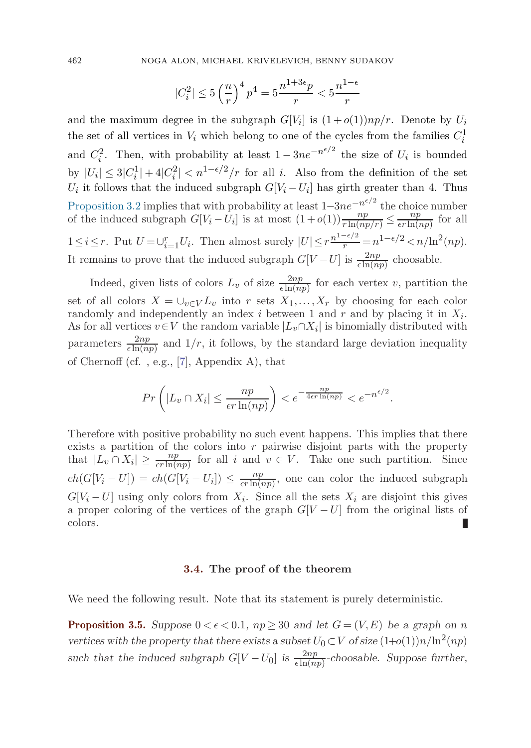$$
|C_i^2| \leq 5\left(\frac{n}{r}\right)^4p^4 = 5\frac{n^{1+3\epsilon}p}{r} < 5\frac{n^{1-\epsilon}}{r}
$$

and the maximum degree in the subgraph  $G[V_i]$  is  $(1+o(1))np/r$ . Denote by  $U_i$ the set of all vertices in  $V_i$  which belong to one of the cycles from the families  $C_i^1$ and  $C_i^2$ . Then, with probability at least  $1 - 3ne^{-n^{\epsilon/2}}$  the size of  $U_i$  is bounded by  $|U_i| \leq 3|C_i^1| + 4|C_i^2| < n^{1-\epsilon/2}/r$  for all i. Also from the definition of the set  $U_i$  it follows that the induced subgraph  $G[V_i - U_i]$  has girth greater than 4. Thus [Proposition 3.2](#page-5-0) implies that with probability at least  $1-3ne^{-n^{\epsilon/2}}$  the choice number of the induced subgraph  $G[V_i - U_i]$  is at most  $(1+o(1))\frac{np}{r\ln(np/r)} \leq \frac{np}{\epsilon r\ln(np)}$  for all  $1 \leq i \leq r$ . Put  $U = \bigcup_{i=1}^{r} U_i$ . Then almost surely  $|U| \leq r \frac{n^{1-\epsilon/2}}{r} = n^{1-\epsilon/2} < n/\ln^2(np)$ . It remains to prove that the induced subgraph  $G[V-U]$  is  $\frac{2np}{\epsilon \ln(np)}$  choosable.

Indeed, given lists of colors  $L_v$  of size  $\frac{2np}{\epsilon \ln(np)}$  for each vertex v, partition the set of all colors  $X = \bigcup_{v \in V} L_v$  into r sets  $X_1, \ldots, X_r$  by choosing for each color randomly and independently an index i between 1 and r and by placing it in  $X_i$ . As for all vertices  $v \in V$  the random variable  $|L_v \cap X_i|$  is binomially distributed with parameters  $\frac{2np}{\epsilon \ln(np)}$  and  $1/r$ , it follows, by the standard large deviation inequality of Chernoff (cf. , e.g., [\[7](#page-18-0)], Appendix A), that

$$
Pr\left(|L_v \cap X_i| \le \frac{np}{\epsilon r \ln(np)}\right) < e^{-\frac{np}{4\epsilon r \ln(np)}} < e^{-n^{\epsilon/2}}.
$$

Therefore with positive probability no such event happens. This implies that there exists a partition of the colors into  $r$  pairwise disjoint parts with the property that  $|L_v \cap X_i| \ge \frac{np}{\epsilon r \ln(np)}$  for all i and  $v \in V$ . Take one such partition. Since  $ch(G[V_i-U]) = ch(G[V_i-U_i]) \leq \frac{np}{\epsilon r \ln(np)},$  one can color the induced subgraph  $G[V_i-U]$  using only colors from  $X_i$ . Since all the sets  $X_i$  are disjoint this gives a proper coloring of the vertices of the graph  $G[V-U]$  from the original lists of colors.

#### **3.4. The proof of the theorem**

We need the following result. Note that its statement is purely deterministic.

**Proposition 3.5.** *Suppose*  $0 < \epsilon < 0.1$ ,  $np \geq 30$  *and let*  $G = (V, E)$  *be a graph on n vertices with the property that there exists a subset*  $U_0 \subset V$  *of size*  $(1+o(1))n/\ln^2(np)$ *such that the induced subgraph*  $G[V - U_0]$  *is*  $\frac{2np}{\epsilon \ln(np)}$ *-choosable. Suppose further,* 

<span id="page-9-0"></span>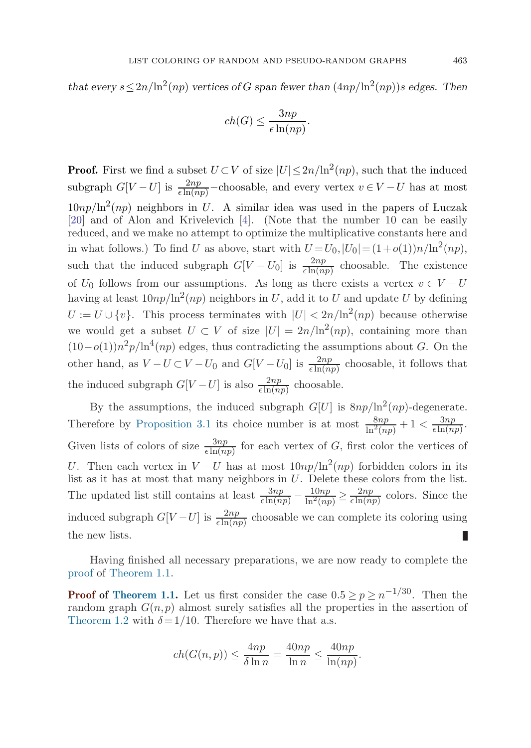<span id="page-10-0"></span>*that every*  $s \leq 2n/\ln^2(np)$  *vertices of G span fewer than*  $(4np/\ln^2(np))s$  *edges. Then* 

$$
ch(G) \le \frac{3np}{\epsilon \ln(np)}.
$$

**Proof.** First we find a subset  $U \subset V$  of size  $|U| \leq 2n/\ln^2(np)$ , such that the induced subgraph  $G[V-U]$  is  $\frac{2np}{\epsilon \ln(np)}$ –choosable, and every vertex  $v \in V-U$  has at most  $10np/\ln^2(np)$  neighbors in U. A similar idea was used in the papers of Luczak [\[20\]](#page-18-0) and of Alon and Krivelevich [\[4](#page-18-0)]. (Note that the number 10 can be easily reduced, and we make no attempt to optimize the multiplicative constants here and in what follows.) To find U as above, start with  $U = U_0$ ,  $|U_0| = (1+o(1))n/\ln^2(np)$ , such that the induced subgraph  $G[V-U_0]$  is  $\frac{2np}{\epsilon \ln(np)}$  choosable. The existence of  $U_0$  follows from our assumptions. As long as there exists a vertex  $v \in V - U$ having at least  $10np/\ln^2(np)$  neighbors in U, add it to U and update U by defining  $U := U \cup \{v\}$ . This process terminates with  $|U| < 2n/\ln^2(np)$  because otherwise we would get a subset  $U \subset V$  of size  $|U| = 2n/\ln^2(np)$ , containing more than  $(10-o(1))n^2p/\ln^4(np)$  edges, thus contradicting the assumptions about G. On the other hand, as  $V - U \subset V - U_0$  and  $G[V - U_0]$  is  $\frac{2np}{\epsilon \ln(np)}$  choosable, it follows that the induced subgraph  $G[V-U]$  is also  $\frac{2np}{\epsilon \ln(np)}$  choosable.

By the assumptions, the induced subgraph  $G[U]$  is  $8np/\ln^2(np)$ -degenerate. Therefore by [Proposition 3.1](#page-5-0) its choice number is at most  $\frac{8np}{\ln^2(np)} + 1 < \frac{3np}{\epsilon \ln(np)}$ . Given lists of colors of size  $\frac{3np}{\epsilon \ln(np)}$  for each vertex of G, first color the vertices of U. Then each vertex in  $V-U$  has at most  $10np/ln^2(np)$  forbidden colors in its list as it has at most that many neighbors in  $U$ . Delete these colors from the list. The updated list still contains at least  $\frac{3np}{\epsilon \ln(np)} - \frac{10np}{\ln^2(np)} \ge \frac{2np}{\epsilon \ln(np)}$  colors. Since the induced subgraph  $G[V-U]$  is  $\frac{2np}{\epsilon \ln(np)}$  choosable we can complete its coloring using the new lists. П

Having finished all necessary preparations, we are now ready to complete the proof of [Theorem 1.1](#page-1-0).

**Proof of [Theorem 1.1](#page-1-0).** Let us first consider the case  $0.5 \ge p \ge n^{-1/30}$ . Then the random graph  $G(n, p)$  almost surely satisfies all the properties in the assertion of [Theorem 1.2](#page-1-0) with  $\delta = 1/10$ . Therefore we have that a.s.

$$
ch(G(n,p)) \le \frac{4np}{\delta \ln n} = \frac{40np}{\ln n} \le \frac{40np}{\ln(np)}.
$$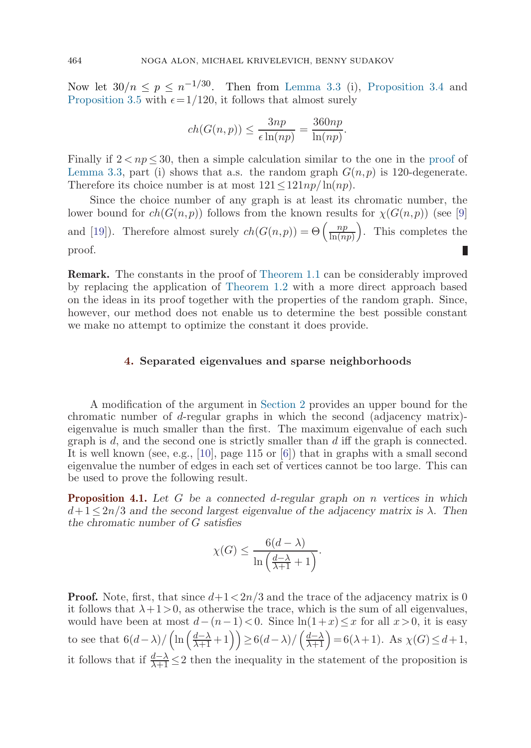<span id="page-11-0"></span>Now let  $30/n \le p \le n^{-1/30}$ . Then from [Lemma 3.3](#page-6-0) (i), [Proposition 3.4](#page-8-0) and [Proposition 3.5](#page-9-0) with  $\epsilon = 1/120$ , it follows that almost surely

$$
ch(G(n,p)) \le \frac{3np}{\epsilon \ln(np)} = \frac{360np}{\ln(np)}.
$$

Finally if  $2 < np < 30$ , then a simple calculation similar to the one in the [proof](#page-7-0) of [Lemma 3.3,](#page-6-0) part (i) shows that a.s. the random graph  $G(n, p)$  is 120-degenerate. Therefore its choice number is at most  $121 \leq 121np/\ln(np)$ .

Since the choice number of any graph is at least its chromatic number, the lower bound for  $ch(G(n, p))$  follows from the known results for  $\chi(G(n, p))$  (see [[9\]](#page-18-0) and [[19\]](#page-18-0)). Therefore almost surely  $ch(G(n,p)) = \Theta\left(\frac{np}{\ln(np)}\right)$ . This completes the proof.

**Remark.** The constants in the proof of [Theorem 1.1](#page-1-0) can be considerably improved by replacing the application of [Theorem 1.2](#page-1-0) with a more direct approach based on the ideas in its proof together with the properties of the random graph. Since, however, our method does not enable us to determine the best possible constant we make no attempt to optimize the constant it does provide.

# **4. Separated eigenvalues and sparse neighborhoods**

A modification of the argument in [Section 2](#page-2-0) provides an upper bound for the chromatic number of d-regular graphs in which the second (adjacency matrix) eigenvalue is much smaller than the first. The maximum eigenvalue of each such graph is  $d$ , and the second one is strictly smaller than  $d$  iff the graph is connected. It is well known (see, e.g., [\[10](#page-18-0)], page 115 or [[6\]](#page-18-0)) that in graphs with a small second eigenvalue the number of edges in each set of vertices cannot be too large. This can be used to prove the following result.

**Proposition 4.1.** *Let* G *be a connected* d*-regular graph on* n *vertices in which*  $d+1 \leq 2n/3$  and the second largest eigenvalue of the adjacency matrix is  $\lambda$ . Then *the chromatic number of* G *satisfies*

$$
\chi(G) \le \frac{6(d-\lambda)}{\ln\left(\frac{d-\lambda}{\lambda+1}+1\right)}.
$$

**Proof.** Note, first, that since  $d+1 < 2n/3$  and the trace of the adjacency matrix is 0 it follows that  $\lambda + 1 > 0$ , as otherwise the trace, which is the sum of all eigenvalues, would have been at most  $d-(n-1) < 0$ . Since  $\ln(1+x) \leq x$  for all  $x>0$ , it is easy to see that  $6(d-\lambda)/\left(\ln\left(\frac{d-\lambda}{\lambda+1}+1\right)\right) \geq 6(d-\lambda)/\left(\frac{d-\lambda}{\lambda+1}\right) = 6(\lambda+1)$ . As  $\chi(G) \leq d+1$ , it follows that if  $\frac{d-\lambda}{\lambda+1} \leq 2$  then the inequality in the statement of the proposition is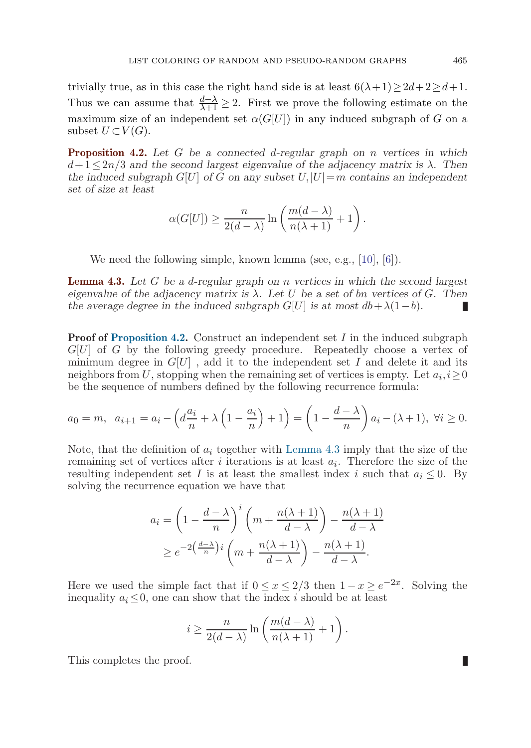<span id="page-12-0"></span>trivially true, as in this case the right hand side is at least  $6(\lambda + 1) \geq 2d + 2 \geq d+1$ . Thus we can assume that  $\frac{d-\lambda}{\lambda+1} \geq 2$ . First we prove the following estimate on the maximum size of an independent set  $\alpha(G[U])$  in any induced subgraph of G on a subset  $U\subset V(G)$ .

**Proposition 4.2.** *Let* G *be a connected* d*-regular graph on* n *vertices in which*  $d+1 \leq 2n/3$  *and the second largest eigenvalue of the adjacency matrix is*  $\lambda$ *. Then the induced subgraph*  $G[U]$  *of* G *on any subset*  $U, |U|=m$  *contains an independent set of size at least*

$$
\alpha(G[U]) \ge \frac{n}{2(d-\lambda)} \ln \left( \frac{m(d-\lambda)}{n(\lambda+1)} + 1 \right).
$$

We need the following simple, known lemma (see, e.g., [\[10](#page-18-0)], [[6\]](#page-18-0)).

**Lemma 4.3.** *Let* G *be a* d*-regular graph on* n *vertices in which the second largest eigenvalue of the adjacency matrix is*  $\lambda$ . Let U be a set of bn vertices of G. Then *the average degree in the induced subgraph*  $G[U]$  *is at most*  $db + \lambda(1-b)$ *.* Ш

**Proof of Proposition 4.2.** Construct an independent set I in the induced subgraph  $G[U]$  of G by the following greedy procedure. Repeatedly choose a vertex of minimum degree in  $G[U]$ , add it to the independent set I and delete it and its neighbors from U, stopping when the remaining set of vertices is empty. Let  $a_i, i \geq 0$ be the sequence of numbers defined by the following recurrence formula:

$$
a_0 = m, \ \ a_{i+1} = a_i - \left(d\frac{a_i}{n} + \lambda\left(1 - \frac{a_i}{n}\right) + 1\right) = \left(1 - \frac{d - \lambda}{n}\right)a_i - (\lambda + 1), \ \forall i \ge 0.
$$

Note, that the definition of  $a_i$  together with Lemma 4.3 imply that the size of the remaining set of vertices after i iterations is at least  $a_i$ . Therefore the size of the resulting independent set I is at least the smallest index i such that  $a_i \leq 0$ . By solving the recurrence equation we have that

$$
a_i = \left(1 - \frac{d - \lambda}{n}\right)^i \left(m + \frac{n(\lambda + 1)}{d - \lambda}\right) - \frac{n(\lambda + 1)}{d - \lambda}
$$
  
 
$$
\geq e^{-2\left(\frac{d - \lambda}{n}\right)i} \left(m + \frac{n(\lambda + 1)}{d - \lambda}\right) - \frac{n(\lambda + 1)}{d - \lambda}.
$$

Here we used the simple fact that if  $0 \le x \le 2/3$  then  $1-x \ge e^{-2x}$ . Solving the inequality  $a_i \leq 0$ , one can show that the index i should be at least

$$
i \ge \frac{n}{2(d-\lambda)} \ln \left( \frac{m(d-\lambda)}{n(\lambda+1)} + 1 \right).
$$

This completes the proof.

П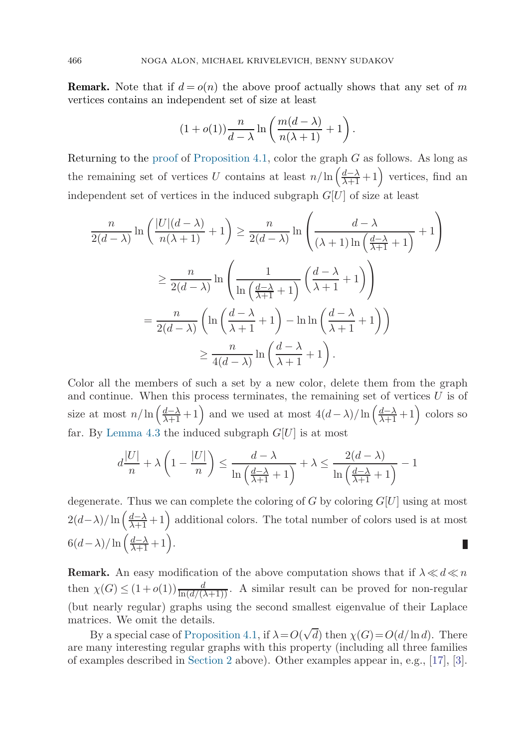**Remark.** Note that if  $d = o(n)$  the above proof actually shows that any set of m vertices contains an independent set of size at least

$$
(1+o(1))\frac{n}{d-\lambda}\ln\left(\frac{m(d-\lambda)}{n(\lambda+1)}+1\right).
$$

Returning to the [proof](#page-11-0) of [Proposition 4.1,](#page-11-0) color the graph  $G$  as follows. As long as the remaining set of vertices U contains at least  $n/\ln\left(\frac{d-\lambda}{\lambda+1}+1\right)$  vertices, find an independent set of vertices in the induced subgraph  $G[U]$  of size at least

$$
\frac{n}{2(d-\lambda)}\ln\left(\frac{|U|(d-\lambda)}{n(\lambda+1)}+1\right) \ge \frac{n}{2(d-\lambda)}\ln\left(\frac{d-\lambda}{(\lambda+1)\ln\left(\frac{d-\lambda}{\lambda+1}+1\right)}+1\right)
$$

$$
\ge \frac{n}{2(d-\lambda)}\ln\left(\frac{1}{\ln\left(\frac{d-\lambda}{\lambda+1}+1\right)}\left(\frac{d-\lambda}{\lambda+1}+1\right)\right)
$$

$$
=\frac{n}{2(d-\lambda)}\left(\ln\left(\frac{d-\lambda}{\lambda+1}+1\right)-\ln\ln\left(\frac{d-\lambda}{\lambda+1}+1\right)\right)
$$

$$
\ge \frac{n}{4(d-\lambda)}\ln\left(\frac{d-\lambda}{\lambda+1}+1\right).
$$

Color all the members of such a set by a new color, delete them from the graph and continue. When this process terminates, the remaining set of vertices  $U$  is of size at most  $n/\ln\left(\frac{d-\lambda}{\lambda+1}+1\right)$  and we used at most  $4(d-\lambda)/\ln\left(\frac{d-\lambda}{\lambda+1}+1\right)$  colors so far. By [Lemma 4.3](#page-12-0) the induced subgraph  $G[U]$  is at most

$$
d\frac{|U|}{n} + \lambda \left(1 - \frac{|U|}{n}\right) \le \frac{d - \lambda}{\ln\left(\frac{d - \lambda}{\lambda + 1} + 1\right)} + \lambda \le \frac{2(d - \lambda)}{\ln\left(\frac{d - \lambda}{\lambda + 1} + 1\right)} - 1
$$

degenerate. Thus we can complete the coloring of G by coloring  $G[U]$  using at most  $2(d-\lambda)/\ln\left(\frac{d-\lambda}{\lambda+1}+1\right)$  additional colors. The total number of colors used is at most  $6(d-\lambda)/\ln\left(\frac{d-\lambda}{\lambda+1} + 1\right).$ П

**Remark.** An easy modification of the above computation shows that if  $\lambda \ll d \ll n$ then  $\chi(G) \leq (1+o(1)) \frac{d}{\ln(d/(\lambda+1))}$ . A similar result can be proved for non-regular (but nearly regular) graphs using the second smallest eigenvalue of their Laplace matrices. We omit the details. √

By a special case of [Proposition 4.1,](#page-11-0) if  $\lambda = O($ d) then  $\chi(G) = O(d/\ln d)$ . There are many interesting regular graphs with this property (including all three families of examples described in [Section 2](#page-2-0) above). Other examples appear in, e.g., [[17\]](#page-18-0), [[3\]](#page-18-0).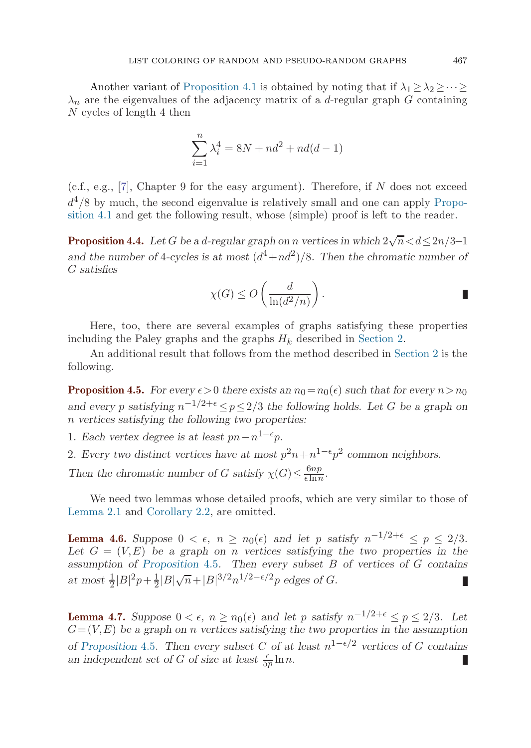<span id="page-14-0"></span>Another variant of [Proposition 4.1](#page-11-0) is obtained by noting that if  $\lambda_1 > \lambda_2 > \cdots >$  $\lambda_n$  are the eigenvalues of the adjacency matrix of a d-regular graph G containing N cycles of length 4 then

$$
\sum_{i=1}^{n} \lambda_i^4 = 8N + nd^2 + nd(d-1)
$$

(c.f., e.g., [\[7](#page-18-0)], Chapter 9 for the easy argument). Therefore, if  $N$  does not exceed  $d^4/8$  by much, the second eigenvalue is relatively small and one can apply [Propo](#page-11-0)sit[ion 4.1](#page-11-0) and get the following result, whose (simple) proof is left to the reader.

**Proposition 4.4.** Let G be a d-regular graph on n vertices in which  $2\sqrt{n} < d \leq 2n/3-1$ and the number of 4-cycles is at most  $(d^4+nd^2)/8$ . Then the chromatic number of G *satisfies*

$$
\chi(G) \le O\left(\frac{d}{\ln(d^2/n)}\right).
$$

Here, too, there are several examples of graphs satisfying these properties including the Paley graphs and the graphs  $H_k$  described in [Section 2](#page-2-0).

An additional result that follows from the method described in [Section 2](#page-2-0) is the following.

**Proposition 4.5.** *For every*  $\epsilon > 0$  *there exists an*  $n_0 = n_0(\epsilon)$  *such that for every*  $n > n_0$ *and every* p *satisfying*  $n^{-1/2+\epsilon} \leq p \leq 2/3$  *the following holds. Let* G *be a graph on* n *vertices satisfying the following two properties:*

1. *Each vertex degree is at least*  $pn - n^{1-\epsilon}p$ *.* 

2. *Every two distinct vertices have at most*  $p^2n + n^{1-\epsilon}p^2$  *common neighbors.* 

*Then the chromatic number of G satisfy*  $\chi(G) \leq \frac{6np}{\epsilon \ln n}$ .

We need two lemmas whose detailed proofs, which are very similar to those of [Lemma 2.1](#page-2-0) and [Corollary 2.2,](#page-3-0) are omitted.

**Lemma 4.6.** Suppose  $0 < \epsilon$ ,  $n \geq n_0(\epsilon)$  and let p satisfy  $n^{-1/2+\epsilon} \leq p \leq 2/3$ . Let  $G = (V, E)$  be a graph on *n* vertices satisfying the two properties in the *assumption of Proposition* 4.5*. Then every subset* B *of vertices of* G *contains*  $\frac{1}{2} |B|^2 p + \frac{1}{2} |B|\sqrt{n} + |B|^{3/2} n^{1/2 - \epsilon/2} p$  edges of *G*. Ш

**Lemma 4.7.** *Suppose*  $0 < \epsilon$ ,  $n \ge n_0(\epsilon)$  *and let* p *satisfy*  $n^{-1/2+\epsilon} \le p \le 2/3$ *. Let*  $G = (V, E)$  be a graph on *n* vertices satisfying the two properties in the assumption *of* Proposition 4.5. Then every subset C of at least  $n^{1-\epsilon/2}$  *vertices of* G *contains* an independent set of G of size at least  $\frac{\epsilon}{5p} \ln n$ .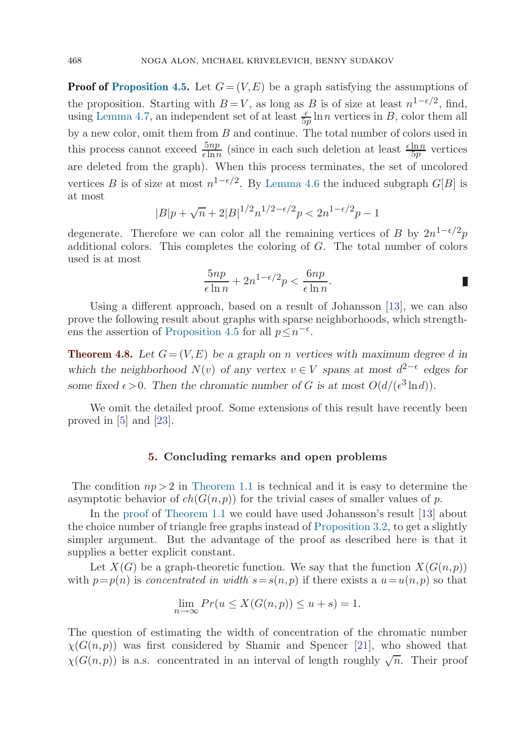<span id="page-15-0"></span>**Proof of [Proposition 4.5](#page-14-0).** Let  $G = (V, E)$  be a graph satisfying the assumptions of the proposition. Starting with  $B = V$ , as long as B is of size at least  $n^{1-\epsilon/2}$ , find, using [Lemma 4.7](#page-14-0), an independent set of at least  $\frac{\epsilon}{5p} \ln n$  vertices in B, color them all by a new color, omit them from B and continue. The total number of colors used in this process cannot exceed  $\frac{5np}{\epsilon \ln n}$  (since in each such deletion at least  $\frac{\epsilon \ln n}{5p}$  vertices are deleted from the graph). When this process terminates, the set of uncolored vertices B is of size at most  $n^{1-\epsilon/2}$ . By [Lemma 4.6](#page-14-0) the induced subgraph  $G[B]$  is at most

$$
|B|p + \sqrt{n} + 2|B|^{1/2}n^{1/2 - \epsilon/2}p < 2n^{1-\epsilon/2}p - 1
$$

degenerate. Therefore we can color all the remaining vertices of B by  $2n^{1-\epsilon/2}p$ additional colors. This completes the coloring of  $G$ . The total number of colors used is at most

$$
\frac{5np}{\epsilon \ln n} + 2n^{1-\epsilon/2}p < \frac{6np}{\epsilon \ln n}.
$$

Using a different approach, based on a result of Johansson [[13\]](#page-18-0), we can also prove the following result about graphs with sparse neighborhoods, which strength-ens the assertion of [Proposition 4.5](#page-14-0) for all  $p \leq n^{-\epsilon}$ .

**Theorem 4.8.** Let  $G = (V, E)$  be a graph on n vertices with maximum degree d in *which the neighborhood*  $N(v)$  *of any vertex*  $v \in V$  *spans at most*  $d^{2-\epsilon}$  *edges for some fixed*  $\epsilon > 0$ *. Then the chromatic number of G is at most*  $O(d/(\epsilon^3 \ln d))$ *.* 

We omit the detailed proof. Some extensions of this result have recently been proved in [\[5](#page-18-0)] and [[23\]](#page-19-0).

#### **5. Concluding remarks and open problems**

The condition  $np > 2$  in [Theorem 1.1](#page-1-0) is technical and it is easy to determine the asymptotic behavior of  $ch(G(n, p))$  for the trivial cases of smaller values of p.

In the [proof](#page-10-0) of [Theorem 1.1](#page-1-0) we could have used Johansson's result [\[13](#page-18-0)] about the choice number of triangle free graphs instead of [Proposition 3.2,](#page-5-0) to get a slightly simpler argument. But the advantage of the proof as described here is that it supplies a better explicit constant.

Let  $X(G)$  be a graph-theoretic function. We say that the function  $X(G(n, p))$ with  $p=p(n)$  is concentrated in width  $s=s(n, p)$  if there exists a  $u=u(n, p)$  so that

$$
\lim_{n \to \infty} Pr(u \le X(G(n, p)) \le u + s) = 1.
$$

The question of estimating the width of concentration of the chromatic number  $\chi(G(n,p))$  was first considered by Shamir and Spencer [\[21](#page-18-0)], who showed that  $\chi(G(n,p))$  is a.s. concentrated in an interval of length roughly  $\sqrt{n}$ . Their proof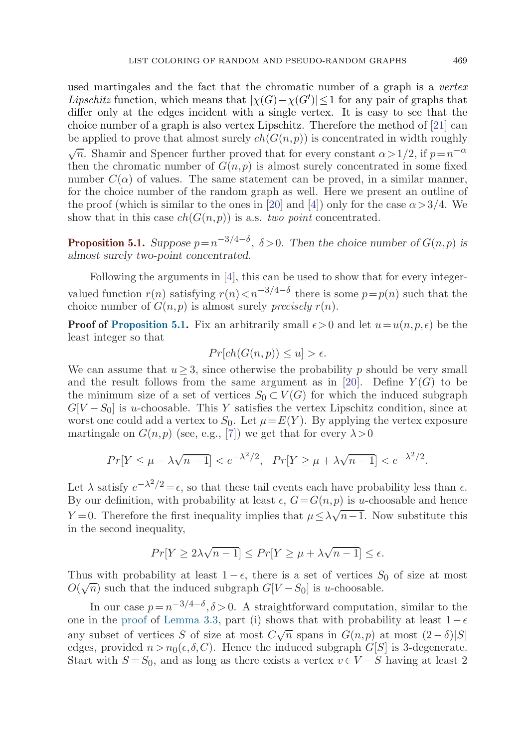used martingales and the fact that the chromatic number of a graph is a vertex *Lipschitz* function, which means that  $|\chi(G) - \chi(G')| \leq 1$  for any pair of graphs that differ only at the edges incident with a single vertex. It is easy to see that the choice number of a graph is also vertex Lipschitz. Therefore the method of [[21\]](#page-18-0) can be applied to prove that almost surely  $ch(G(n, p))$  is concentrated in width roughly  $\sqrt{n}$ . Shamir and Spencer further proved that for every constant  $\alpha > 1/2$ , if  $p=n^{-\alpha}$ then the chromatic number of  $G(n, p)$  is almost surely concentrated in some fixed number  $C(\alpha)$  of values. The same statement can be proved, in a similar manner, for the choice number of the random graph as well. Here we present an outline of the proof (which is similar to the ones in [\[20](#page-18-0)] and [[4\]](#page-18-0)) only for the case  $\alpha > 3/4$ . We show that in this case  $ch(G(n, p))$  is a.s. two point concentrated.

**Proposition 5.1.** *Suppose*  $p=n^{-3/4-\delta}$ ,  $\delta > 0$ *. Then the choice number of*  $G(n, p)$  *is almost surely two-point concentrated.*

Following the arguments in [\[4](#page-18-0)], this can be used to show that for every integervalued function  $r(n)$  satisfying  $r(n) < n^{-3/4-\delta}$  there is some  $p=p(n)$  such that the choice number of  $G(n, p)$  is almost surely *precisely*  $r(n)$ .

**Proof of Proposition 5.1.** Fix an arbitrarily small  $\epsilon > 0$  and let  $u = u(n, p, \epsilon)$  be the least integer so that

$$
Pr[ch(G(n, p)) \le u] > \epsilon.
$$

We can assume that  $u > 3$ , since otherwise the probability p should be very small and the result follows from the same argument as in [\[20](#page-18-0)]. Define  $Y(G)$  to be the minimum size of a set of vertices  $S_0 \subset V(G)$  for which the induced subgraph  $G[V-S_0]$  is u-choosable. This Y satisfies the vertex Lipschitz condition, since at worst one could add a vertex to  $S_0$ . Let  $\mu = E(Y)$ . By applying the vertex exposure martingale on  $G(n, p)$  (see, e.g., [[7\]](#page-18-0)) we get that for every  $\lambda > 0$ 

$$
Pr[Y \le \mu - \lambda \sqrt{n-1}] < e^{-\lambda^2/2}, \quad Pr[Y \ge \mu + \lambda \sqrt{n-1}] < e^{-\lambda^2/2}.
$$

Let  $\lambda$  satisfy  $e^{-\lambda^2/2} = \epsilon$ , so that these tail events each have probability less than  $\epsilon$ . By our definition, with probability at least  $\epsilon$ ,  $G = G(n, p)$  is u-choosable and hence  $Y = 0$ . Therefore the first inequality implies that  $\mu \leq \lambda \sqrt{n-1}$ . Now substitute this in the second inequality,

$$
Pr[Y \ge 2\lambda\sqrt{n-1}] \le Pr[Y \ge \mu + \lambda\sqrt{n-1}] \le \epsilon.
$$

Thus with probability at least  $1 - \epsilon$ , there is a set of vertices  $S_0$  of size at most Thus with probability at least  $1 - \epsilon$ , there is a set of vertices  $S$ <br> $O(\sqrt{n})$  such that the induced subgraph  $G[V-S_0]$  is *u*-choosable.

In our case  $p = n^{-3/4-\delta}, \delta > 0$ . A straightforward computation, similar to the one in the [proof](#page-7-0) of [Lemma 3.3,](#page-6-0) part (i) shows that with probability at least  $1-\epsilon$ any subset of vertices S of size at most  $C\sqrt{n}$  spans in  $G(n, p)$  at most  $(2 - \delta)|S|$ edges, provided  $n>n_0(\epsilon,\delta,C)$ . Hence the induced subgraph  $G[S]$  is 3-degenerate. Start with  $S = S_0$ , and as long as there exists a vertex  $v \in V - S$  having at least 2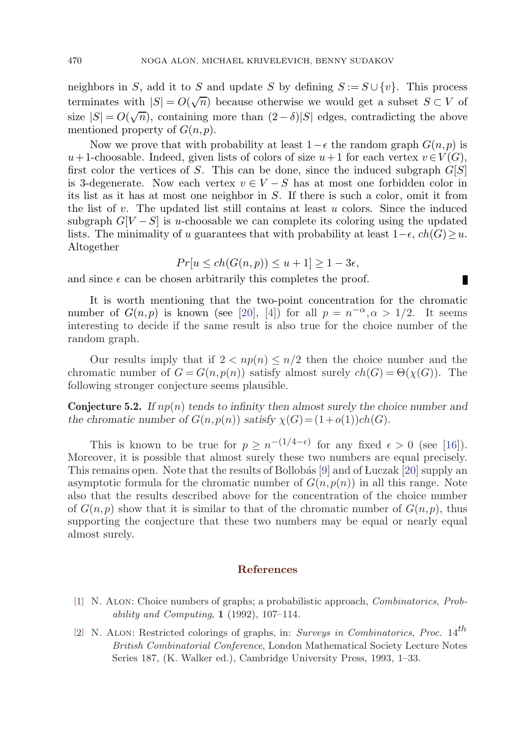<span id="page-17-0"></span>neighbors in S, add it to S and update S by defining  $S := S \cup \{v\}$ . This process terminates with  $|S| = O(\sqrt{n})$  because otherwise we would get a subset  $S \subset V$  of size  $|S| = O(\sqrt{n})$ , containing more than  $(2 - \delta)|S|$  edges, contradicting the above mentioned property of  $G(n, p)$ .

Now we prove that with probability at least  $1-\epsilon$  the random graph  $G(n, p)$  is u+ 1-choosable. Indeed, given lists of colors of size  $u+1$  for each vertex  $v\in V(G)$ , first color the vertices of S. This can be done, since the induced subgraph  $G[S]$ is 3-degenerate. Now each vertex  $v \in V - S$  has at most one forbidden color in its list as it has at most one neighbor in  $S$ . If there is such a color, omit it from the list of  $v$ . The updated list still contains at least  $u$  colors. Since the induced subgraph  $G[V-S]$  is u-choosable we can complete its coloring using the updated lists. The minimality of u guarantees that with probability at least  $1-\epsilon$ ,  $ch(G) \geq u$ . Altogether

$$
Pr[u \le ch(G(n, p)) \le u + 1] \ge 1 - 3\epsilon,
$$

Ш

and since  $\epsilon$  can be chosen arbitrarily this completes the proof.

It is worth mentioning that the two-point concentration for the chromatic number of  $G(n,p)$  is known (see [[20\]](#page-18-0), [\[4](#page-18-0)]) for all  $p = n^{-\alpha}, \alpha > 1/2$ . It seems interesting to decide if the same result is also true for the choice number of the random graph.

Our results imply that if  $2 < np(n) \leq n/2$  then the choice number and the chromatic number of  $G = G(n, p(n))$  satisfy almost surely  $ch(G) = \Theta(\chi(G))$ . The following stronger conjecture seems plausible.

**Conjecture 5.2.** *If* np(n) *tends to infinity then almost surely the choice number and the chromatic number of*  $G(n, p(n))$  *satisfy*  $\chi(G) = (1+o(1))ch(G)$ *.* 

This is known to be true for  $p \geq n^{-(1/4-\epsilon)}$  for any fixed  $\epsilon > 0$  (see [[16](#page-18-0)]). Moreover, it is possible that almost surely these two numbers are equal precisely. This remains open. Note that the results of Bollobás  $[9]$  $[9]$  and of Luczak  $[20]$  $[20]$  supply an asymptotic formula for the chromatic number of  $G(n, p(n))$  in all this range. Note also that the results described above for the concentration of the choice number of  $G(n, p)$  show that it is similar to that of the chromatic number of  $G(n, p)$ , thus supporting the conjecture that these two numbers may be equal or nearly equal almost surely.

#### **References**

- [1] N. Alon: Choice numbers of graphs; a probabilistic approach, Combinatorics, Probability and Computing, **1** (1992), 107–114.
- [2] N. ALON: Restricted colorings of graphs, in: Surveys in Combinatorics, Proc.  $14^{th}$ British Combinatorial Conference, London Mathematical Society Lecture Notes Series 187, (K. Walker ed.), Cambridge University Press, 1993, 1–33.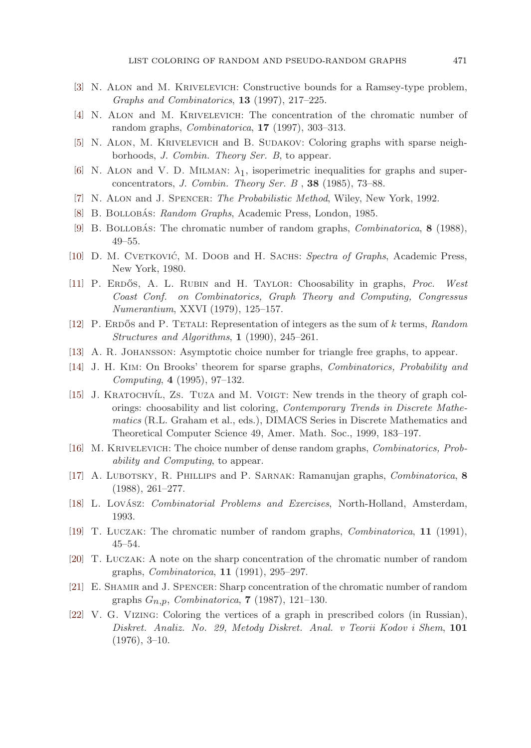- <span id="page-18-0"></span>[3] N. Alon and M. Krivelevich: Constructive bounds for a Ramsey-type problem, Graphs and Combinatorics, **13** (1997), 217–225.
- [4] N. Alon and M. Krivelevich: The concentration of the chromatic number of random graphs, Combinatorica, **17** (1997), 303–313.
- [5] N. Alon, M. Krivelevich and B. Sudakov: Coloring graphs with sparse neighborhoods, J. Combin. Theory Ser. B, to appear.
- [6] N. ALON and V. D. MILMAN:  $\lambda_1$ , isoperimetric inequalities for graphs and superconcentrators, J. Combin. Theory Ser. B , **38** (1985), 73–88.
- [7] N. ALON and J. SPENCER: The Probabilistic Method, Wiley, New York, 1992.
- [8] B. BOLLOBÁS: Random Graphs, Academic Press, London, 1985.
- [9] B. BOLLOBAS: The chromatic number of random graphs, *Combinatorica*, **8** (1988), 49–55.
- [10] D. M. CVETKOVIĆ, M. DOOB and H. SACHS: Spectra of Graphs, Academic Press, New York, 1980.
- [11] P. ERDŐS, A. L. RUBIN and H. TAYLOR: Choosability in graphs, *Proc. West* Coast Conf. on Combinatorics, Graph Theory and Computing, Congressus Numerantium, XXVI (1979), 125–157.
- [12] P. ERDOS and P. TETALI: Representation of integers as the sum of k terms, Random Structures and Algorithms, **1** (1990), 245–261.
- [13] A. R. Johansson: Asymptotic choice number for triangle free graphs, to appear.
- [14] J. H. Kim: On Brooks' theorem for sparse graphs, Combinatorics, Probability and Computing, **4** (1995), 97–132.
- [15] J. KRATOCHVÍL, ZS. TUZA and M. VOIGT: New trends in the theory of graph colorings: choosability and list coloring, *Contemporary Trends in Discrete Mathe*matics (R.L. Graham et al., eds.), DIMACS Series in Discrete Mathematics and Theoretical Computer Science 49, Amer. Math. Soc., 1999, 183–197.
- [16] M. Krivelevich: The choice number of dense random graphs, Combinatorics, Probability and Computing, to appear.
- [17] A. Lubotsky, R. Phillips and P. Sarnak: Ramanujan graphs, Combinatorica, **8** (1988), 261–277.
- [18] L. Lovász: *Combinatorial Problems and Exercises*, North-Holland, Amsterdam, 1993.
- [19] T. LUCZAK: The chromatic number of random graphs, *Combinatorica*, **11** (1991), 45–54.
- [20] T. LUCZAK: A note on the sharp concentration of the chromatic number of random graphs, Combinatorica, **11** (1991), 295–297.
- [21] E. Shamir and J. Spencer: Sharp concentration of the chromatic number of random graphs Gn,p, Combinatorica, **7** (1987), 121–130.
- [22] V. G. VIZING: Coloring the vertices of a graph in prescribed colors (in Russian), Diskret. Analiz. No. 29, Metody Diskret. Anal. v Teorii Kodov i Shem, **101**  $(1976), 3-10.$